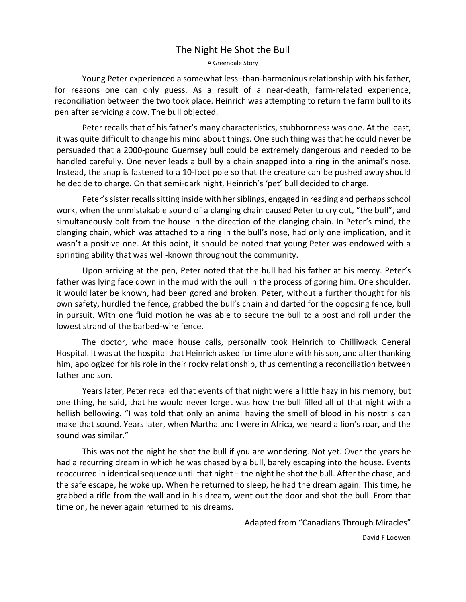## The Night He Shot the Bull

A Greendale Story

Young Peter experienced a somewhat less–than-harmonious relationship with his father, for reasons one can only guess. As a result of a near-death, farm-related experience, reconciliation between the two took place. Heinrich was attempting to return the farm bull to its pen after servicing a cow. The bull objected.

Peter recalls that of his father's many characteristics, stubbornness was one. At the least, it was quite difficult to change his mind about things. One such thing was that he could never be persuaded that a 2000-pound Guernsey bull could be extremely dangerous and needed to be handled carefully. One never leads a bull by a chain snapped into a ring in the animal's nose. Instead, the snap is fastened to a 10-foot pole so that the creature can be pushed away should he decide to charge. On that semi-dark night, Heinrich's 'pet' bull decided to charge.

Peter's sister recalls sitting inside with her siblings, engaged in reading and perhaps school work, when the unmistakable sound of a clanging chain caused Peter to cry out, "the bull", and simultaneously bolt from the house in the direction of the clanging chain. In Peter's mind, the clanging chain, which was attached to a ring in the bull's nose, had only one implication, and it wasn't a positive one. At this point, it should be noted that young Peter was endowed with a sprinting ability that was well-known throughout the community.

Upon arriving at the pen, Peter noted that the bull had his father at his mercy. Peter's father was lying face down in the mud with the bull in the process of goring him. One shoulder, it would later be known, had been gored and broken. Peter, without a further thought for his own safety, hurdled the fence, grabbed the bull's chain and darted for the opposing fence, bull in pursuit. With one fluid motion he was able to secure the bull to a post and roll under the lowest strand of the barbed-wire fence.

The doctor, who made house calls, personally took Heinrich to Chilliwack General Hospital. It was at the hospital that Heinrich asked for time alone with his son, and after thanking him, apologized for his role in their rocky relationship, thus cementing a reconciliation between father and son.

Years later, Peter recalled that events of that night were a little hazy in his memory, but one thing, he said, that he would never forget was how the bull filled all of that night with a hellish bellowing. "I was told that only an animal having the smell of blood in his nostrils can make that sound. Years later, when Martha and I were in Africa, we heard a lion's roar, and the sound was similar."

This was not the night he shot the bull if you are wondering. Not yet. Over the years he had a recurring dream in which he was chased by a bull, barely escaping into the house. Events reoccurred in identical sequence until that night – the night he shot the bull. After the chase, and the safe escape, he woke up. When he returned to sleep, he had the dream again. This time, he grabbed a rifle from the wall and in his dream, went out the door and shot the bull. From that time on, he never again returned to his dreams.

Adapted from "Canadians Through Miracles"

David F Loewen